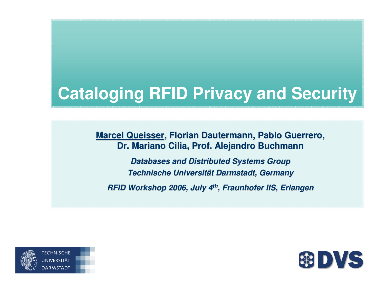## **Cataloging RFID Privacy and Security**

**Marcel Queisser, Florian Dautermann, Pablo Guerrero, Dr. Mariano Cilia, Prof. Alejandro Buchmann**

**Databases and Distributed Systems Group Technische Universität Darmstadt, GermanyRFID Workshop 2006, July 4th, Fraunhofer IIS, Erlangen**



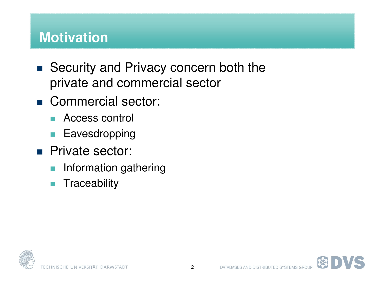#### **Motivation**

- Security and Privacy concern both the private and commercial sector
- Commercial sector:
	- $\sim$ Access control
	- $\mathcal{L}_{\mathcal{A}}$ Eavesdropping
- **Private sector:** 
	- $\mathcal{C}^{\mathcal{A}}$ Information gathering
	- $\overline{\mathcal{A}}$ **Traceability**

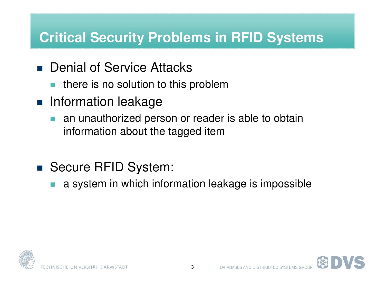#### **Critical Security Problems in RFID Systems**

- Denial of Service Attacks
	- $\mathcal{L}^{\text{max}}$ there is no solution to this problem
- **Refinition** leakage
	- **an unauthorized person or reader is able to obtain**  $\mathbb{R}^n$ information about the tagged item
- Secure RFID System:
	- $\mathbb{R}^n$ a system in which information leakage is impossible



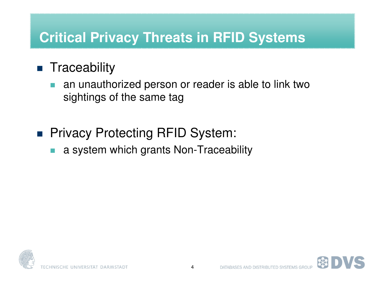#### **Critical Privacy Threats in RFID Systems**

## **Traceability**

- $\mathbb{R}^n$  an unauthorized person or reader is able to link two sightings of the same tag
- Privacy Protecting RFID System:
	- У. a system which grants Non-Traceability

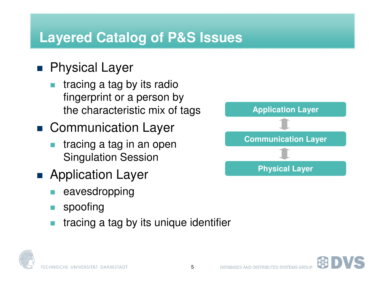#### **Layered Catalog of P&S Issues**

### ■ Physical Layer

- $\mathbb{R}^n$  tracing a tag by its radio fingerprint or a person bythe characteristic mix of tags
- Communication Layer
	- $\mathbb{R}^n$  tracing a tag in an openSingulation Session
- Application Layer
	- У. eavesdropping
	- $\mathbb{R}^n$ spoofing
	- F. tracing a tag by its unique identifier





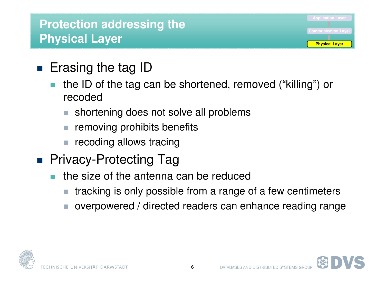#### **Protection addressing the Physical Layer**

- Erasing the tag ID
	- the ID of the tag can be shortened, removed ("killing") or  $\mathbb{R}^n$ recoded
		- shortening does not solve all problems
		- removing prohibits benefits
		- recoding allows tracing
- Privacy-Protecting Tag
	- **the size of the antenna can be reduced** У.
		- tracking is only possible from a range of a few centimeters
		- overpowered / directed readers can enhance reading range



**Physical Layer**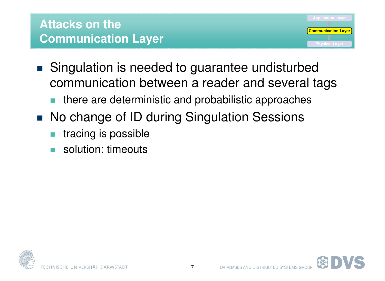

- **Singulation is needed to guarantee undisturbed** communication between a reader and several tags
	- У. there are deterministic and probabilistic approaches
- No change of ID during Singulation Sessions
	- и. tracing is possible
	- $\mathcal{C}^{\mathcal{A}}$ solution: timeouts

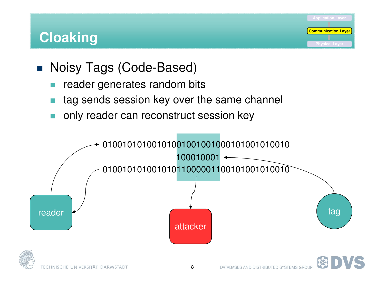#### **Cloaking**

- Noisy Tags (Code-Based)
	- $\mathcal{C}^{\mathcal{A}}$ reader generates random bits
	- F. tag sends session key over the same channel
	- и. only reader can reconstruct session key



**Communication Layer**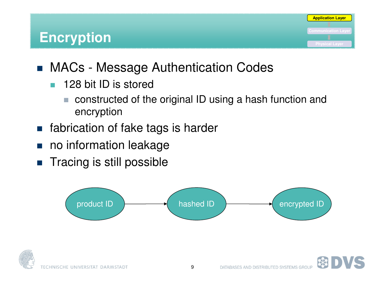

- $\mathcal{L}_{\mathcal{A}}$  128 bit ID is stored
	- constructed of the original ID using a hash function and  $\mathcal{C}^{\mathcal{A}}$ encryption
- **n** fabrication of fake tags is harder
- $\mathcal{L}_{\mathcal{A}}$ no information leakage
- $\blacksquare$  Tracing is still possible



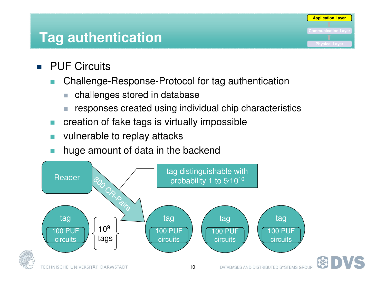#### **Tag authentication**

- **PUF Circuits** 
	- $\mathcal{C}^{\mathcal{A}}$  Challenge-Response-Protocol for tag authentication
		- $\mathcal{C}$ challenges stored in database
		- responses created using individual chip characteristics

- $\mathcal{C}^{\mathcal{A}}$ creation of fake tags is virtually impossible
- П vulnerable to replay attacks
- huge amount of data in the backend

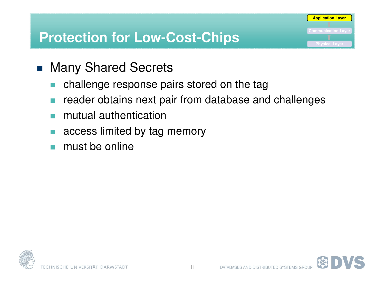#### **Protection for Low-Cost-Chips**

- Many Shared Secrets
	- $\mathcal{C}^{\mathcal{A}}$ challenge response pairs stored on the tag
	- F. reader obtains next pair from database and challenges
	- и. mutual authentication
	- $\mathcal{C}^{\mathcal{A}}$ access limited by tag memory
	- $\mathcal{C}^{\mathcal{A}}$ must be online

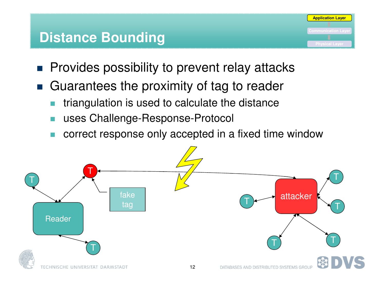#### **Distance Bounding**



- **Provides possibility to prevent relay attacks**
- Guarantees the proximity of tag to reader
	- $\mathcal{C}^{\mathcal{A}}$ triangulation is used to calculate the distance
	- $\mathcal{C}^{\mathcal{A}}$ uses Challenge-Response-Protocol
	- и. correct response only accepted in a fixed time window

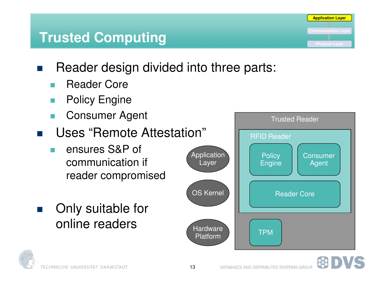# **Trusted Computing**

- $\mathcal{L}^{\mathcal{A}}$  Reader design divided into three parts:
	- $\mathcal{L}_{\mathcal{A}}$ Reader Core
	- $\mathcal{C}^{\mathcal{A}}$ Policy Engine
	- $\mathcal{C}^{\mathcal{A}}$ Consumer Agent
- $\mathcal{L}(\mathcal{A})$  Uses "Remote Attestation"
	- У. ensures S&P of communication if reader compromised
- $\mathcal{F}(\mathcal{A})$  Only suitable for online readers



**Application Layer**

 $\mathbb{R}^n$ 



TECHNISCHE UNIVERSITÄT DARMSTADT

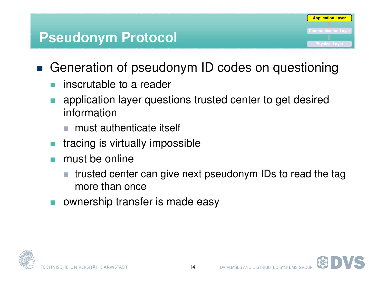

- $\mathcal{L}^{\mathcal{L}}$ inscrutable to a reader
- F. application layer questions trusted center to get desired information
	- must authenticate itself
- У. tracing is virtually impossible
- $\mathbb{R}^n$  must be online
	- trusted center can give next pseudonym IDs to read the tag more than once
- F. ownership transfer is made easy





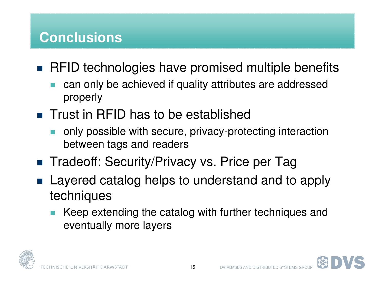#### **Conclusions**

- RFID technologies have promised multiple benefits
	- $\mathbb{R}^n$  can only be achieved if quality attributes are addressed properly
- Trust in RFID has to be established
	- У. only possible with secure, privacy-protecting interaction between tags and readers
- Tradeoff: Security/Privacy vs. Price per Tag
- **Layered catalog helps to understand and to apply** techniques
	- У. Keep extending the catalog with further techniques and eventually more layers